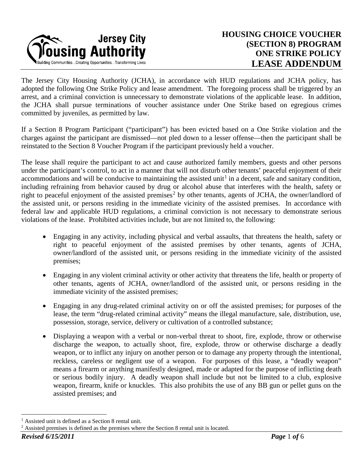

The Jersey City Housing Authority (JCHA), in accordance with HUD regulations and JCHA policy, has adopted the following One Strike Policy and lease amendment. The foregoing process shall be triggered by an arrest, and a criminal conviction is unnecessary to demonstrate violations of the applicable lease. In addition, the JCHA shall pursue terminations of voucher assistance under One Strike based on egregious crimes committed by juveniles, as permitted by law.

If a Section 8 Program Participant ("participant") has been evicted based on a One Strike violation and the charges against the participant are dismissed—not pled down to a lesser offense—then the participant shall be reinstated to the Section 8 Voucher Program if the participant previously held a voucher.

The lease shall require the participant to act and cause authorized family members, guests and other persons under the participant's control, to act in a manner that will not disturb other tenants' peaceful enjoyment of their accommodations and will be conducive to maintaining the assisted unit<sup>[1](#page-0-0)</sup> in a decent, safe and sanitary condition, including refraining from behavior caused by drug or alcohol abuse that interferes with the health, safety or right to peaceful enjoyment of the assisted premises<sup>[2](#page-0-1)</sup> by other tenants, agents of JCHA, the owner/landlord of the assisted unit, or persons residing in the immediate vicinity of the assisted premises. In accordance with federal law and applicable HUD regulations, a criminal conviction is not necessary to demonstrate serious violations of the lease. Prohibited activities include, but are not limited to, the following:

- Engaging in any activity, including physical and verbal assaults, that threatens the health, safety or right to peaceful enjoyment of the assisted premises by other tenants, agents of JCHA, owner/landlord of the assisted unit, or persons residing in the immediate vicinity of the assisted premises;
- Engaging in any violent criminal activity or other activity that threatens the life, health or property of other tenants, agents of JCHA, owner/landlord of the assisted unit, or persons residing in the immediate vicinity of the assisted premises;
- Engaging in any drug-related criminal activity on or off the assisted premises; for purposes of the lease, the term "drug-related criminal activity" means the illegal manufacture, sale, distribution, use, possession, storage, service, delivery or cultivation of a controlled substance;
- Displaying a weapon with a verbal or non-verbal threat to shoot, fire, explode, throw or otherwise discharge the weapon, to actually shoot, fire, explode, throw or otherwise discharge a deadly weapon, or to inflict any injury on another person or to damage any property through the intentional, reckless, careless or negligent use of a weapon. For purposes of this lease, a "deadly weapon" means a firearm or anything manifestly designed, made or adapted for the purpose of inflicting death or serious bodily injury. A deadly weapon shall include but not be limited to a club, explosive weapon, firearm, knife or knuckles. This also prohibits the use of any BB gun or pellet guns on the assisted premises; and

<span id="page-0-0"></span><sup>&</sup>lt;sup>1</sup> Assisted unit is defined as a Section 8 rental unit.

<span id="page-0-1"></span> $2$  Assisted premises is defined as the premises where the Section 8 rental unit is located.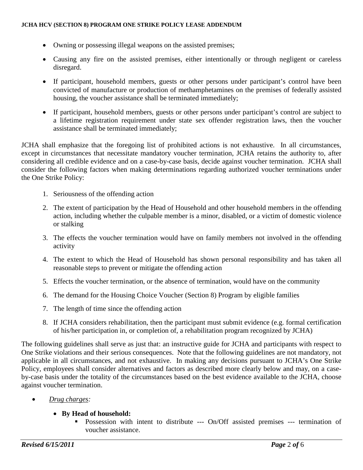- Owning or possessing illegal weapons on the assisted premises;
- Causing any fire on the assisted premises, either intentionally or through negligent or careless disregard.
- If participant, household members, guests or other persons under participant's control have been convicted of manufacture or production of methamphetamines on the premises of federally assisted housing, the voucher assistance shall be terminated immediately;
- If participant, household members, guests or other persons under participant's control are subject to a lifetime registration requirement under state sex offender registration laws, then the voucher assistance shall be terminated immediately;

JCHA shall emphasize that the foregoing list of prohibited actions is not exhaustive. In all circumstances, except in circumstances that necessitate mandatory voucher termination, JCHA retains the authority to, after considering all credible evidence and on a case-by-case basis, decide against voucher termination. JCHA shall consider the following factors when making determinations regarding authorized voucher terminations under the One Strike Policy:

- 1. Seriousness of the offending action
- 2. The extent of participation by the Head of Household and other household members in the offending action, including whether the culpable member is a minor, disabled, or a victim of domestic violence or stalking
- 3. The effects the voucher termination would have on family members not involved in the offending activity
- 4. The extent to which the Head of Household has shown personal responsibility and has taken all reasonable steps to prevent or mitigate the offending action
- 5. Effects the voucher termination, or the absence of termination, would have on the community
- 6. The demand for the Housing Choice Voucher (Section 8) Program by eligible families
- 7. The length of time since the offending action
- 8. If JCHA considers rehabilitation, then the participant must submit evidence (e.g. formal certification of his/her participation in, or completion of, a rehabilitation program recognized by JCHA)

The following guidelines shall serve as just that: an instructive guide for JCHA and participants with respect to One Strike violations and their serious consequences. Note that the following guidelines are not mandatory, not applicable in all circumstances, and not exhaustive. In making any decisions pursuant to JCHA's One Strike Policy, employees shall consider alternatives and factors as described more clearly below and may, on a caseby-case basis under the totality of the circumstances based on the best evidence available to the JCHA, choose against voucher termination.

• *Drug charges:*

## • **By Head of household:**

**Possession with intent to distribute --- On/Off assisted premises --- termination of** voucher assistance.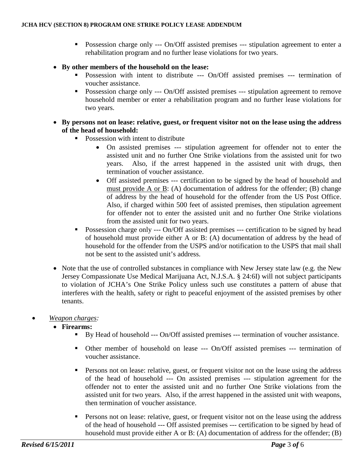- **Possession charge only --- On/Off assisted premises --- stipulation agreement to enter a** rehabilitation program and no further lease violations for two years.
- **By other members of the household on the lease:**
	- **Possession with intent to distribute --- On/Off assisted premises --- termination of** voucher assistance.
	- **Possession charge only --- On/Off assisted premises --- stipulation agreement to remove** household member or enter a rehabilitation program and no further lease violations for two years.
- **By persons not on lease: relative, guest, or frequent visitor not on the lease using the address of the head of household:**
	- Possession with intent to distribute
		- On assisted premises --- stipulation agreement for offender not to enter the assisted unit and no further One Strike violations from the assisted unit for two years. Also, if the arrest happened in the assisted unit with drugs, then termination of voucher assistance.
		- Off assisted premises --- certification to be signed by the head of household and must provide A or B: (A) documentation of address for the offender; (B) change of address by the head of household for the offender from the US Post Office. Also, if charged within 500 feet of assisted premises, then stipulation agreement for offender not to enter the assisted unit and no further One Strike violations from the assisted unit for two years.
	- **Possession charge only --- On/Off assisted premises --- certification to be signed by head** of household must provide either A or B: (A) documentation of address by the head of household for the offender from the USPS and/or notification to the USPS that mail shall not be sent to the assisted unit's address.
- Note that the use of controlled substances in compliance with New Jersey state law (e.g. the New Jersey Compassionate Use Medical Marijuana Act, N.J.S.A. § 24:6I) will not subject participants to violation of JCHA's One Strike Policy unless such use constitutes a pattern of abuse that interferes with the health, safety or right to peaceful enjoyment of the assisted premises by other tenants.
- *Weapon charges:*
	- **Firearms:**
		- By Head of household --- On/Off assisted premises --- termination of voucher assistance.
		- Other member of household on lease --- On/Off assisted premises --- termination of voucher assistance.
		- **Persons not on lease: relative, guest, or frequent visitor not on the lease using the address** of the head of household --- On assisted premises --- stipulation agreement for the offender not to enter the assisted unit and no further One Strike violations from the assisted unit for two years. Also, if the arrest happened in the assisted unit with weapons, then termination of voucher assistance.
		- **Persons not on lease: relative, guest, or frequent visitor not on the lease using the address** of the head of household --- Off assisted premises --- certification to be signed by head of household must provide either A or B: (A) documentation of address for the offender; (B)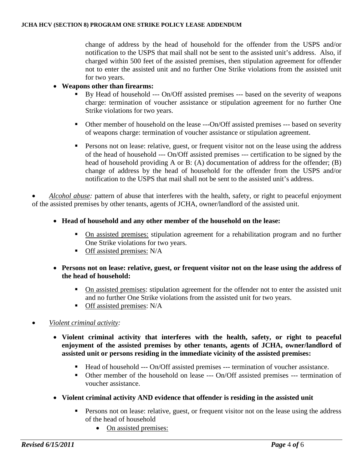change of address by the head of household for the offender from the USPS and/or notification to the USPS that mail shall not be sent to the assisted unit's address. Also, if charged within 500 feet of the assisted premises, then stipulation agreement for offender not to enter the assisted unit and no further One Strike violations from the assisted unit for two years.

## • **Weapons other than firearms:**

- By Head of household --- On/Off assisted premises --- based on the severity of weapons charge: termination of voucher assistance or stipulation agreement for no further One Strike violations for two years.
- Other member of household on the lease ---On/Off assisted premises --- based on severity of weapons charge: termination of voucher assistance or stipulation agreement.
- **Persons not on lease: relative, guest, or frequent visitor not on the lease using the address** of the head of household --- On/Off assisted premises --- certification to be signed by the head of household providing A or B: (A) documentation of address for the offender; (B) change of address by the head of household for the offender from the USPS and/or notification to the USPS that mail shall not be sent to the assisted unit's address.

• *Alcohol abuse:* pattern of abuse that interferes with the health, safety, or right to peaceful enjoyment of the assisted premises by other tenants, agents of JCHA, owner/landlord of the assisted unit.

- **Head of household and any other member of the household on the lease:**
	- On assisted premises: stipulation agreement for a rehabilitation program and no further One Strike violations for two years.
	- **Off** assisted premises: N/A
- **Persons not on lease: relative, guest, or frequent visitor not on the lease using the address of the head of household:** 
	- On assisted premises: stipulation agreement for the offender not to enter the assisted unit and no further One Strike violations from the assisted unit for two years.
	- **Off** assisted premises: N/A
- *Violent criminal activity:*
	- **Violent criminal activity that interferes with the health, safety, or right to peaceful enjoyment of the assisted premises by other tenants, agents of JCHA, owner/landlord of assisted unit or persons residing in the immediate vicinity of the assisted premises:**
		- Head of household --- On/Off assisted premises --- termination of voucher assistance.
		- Other member of the household on lease --- On/Off assisted premises --- termination of voucher assistance.
	- **Violent criminal activity AND evidence that offender is residing in the assisted unit**
		- **Persons not on lease: relative, guest, or frequent visitor not on the lease using the address** of the head of household
			- On assisted premises: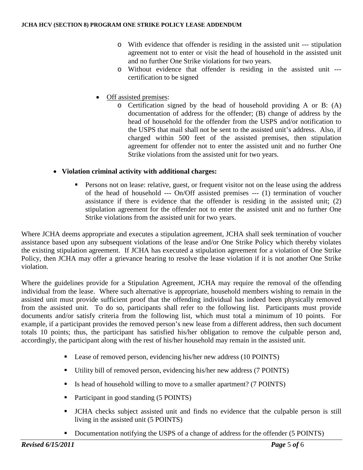- o With evidence that offender is residing in the assisted unit --- stipulation agreement not to enter or visit the head of household in the assisted unit and no further One Strike violations for two years.
- o Without evidence that offender is residing in the assisted unit -- certification to be signed
- Off assisted premises:
	- o Certification signed by the head of household providing A or B: (A) documentation of address for the offender; (B) change of address by the head of household for the offender from the USPS and/or notification to the USPS that mail shall not be sent to the assisted unit's address. Also, if charged within 500 feet of the assisted premises, then stipulation agreement for offender not to enter the assisted unit and no further One Strike violations from the assisted unit for two years.

## • **Violation criminal activity with additional charges:**

**Persons not on lease: relative, guest, or frequent visitor not on the lease using the address** of the head of household --- On/Off assisted premises --- (1) termination of voucher assistance if there is evidence that the offender is residing in the assisted unit; (2) stipulation agreement for the offender not to enter the assisted unit and no further One Strike violations from the assisted unit for two years.

Where JCHA deems appropriate and executes a stipulation agreement, JCHA shall seek termination of voucher assistance based upon any subsequent violations of the lease and/or One Strike Policy which thereby violates the existing stipulation agreement. If JCHA has executed a stipulation agreement for a violation of One Strike Policy, then JCHA may offer a grievance hearing to resolve the lease violation if it is not another One Strike violation.

Where the guidelines provide for a Stipulation Agreement, JCHA may require the removal of the offending individual from the lease. Where such alternative is appropriate, household members wishing to remain in the assisted unit must provide sufficient proof that the offending individual has indeed been physically removed from the assisted unit. To do so, participants shall refer to the following list. Participants must provide documents and/or satisfy criteria from the following list, which must total a minimum of 10 points. For example, if a participant provides the removed person's new lease from a different address, then such document totals 10 points; thus, the participant has satisfied his/her obligation to remove the culpable person and, accordingly, the participant along with the rest of his/her household may remain in the assisted unit.

- Lease of removed person, evidencing his/her new address (10 POINTS)
- Utility bill of removed person, evidencing his/her new address (7 POINTS)
- Is head of household willing to move to a smaller apartment? (7 POINTS)
- Participant in good standing (5 POINTS)
- JCHA checks subject assisted unit and finds no evidence that the culpable person is still living in the assisted unit (5 POINTS)
- Documentation notifying the USPS of a change of address for the offender (5 POINTS)